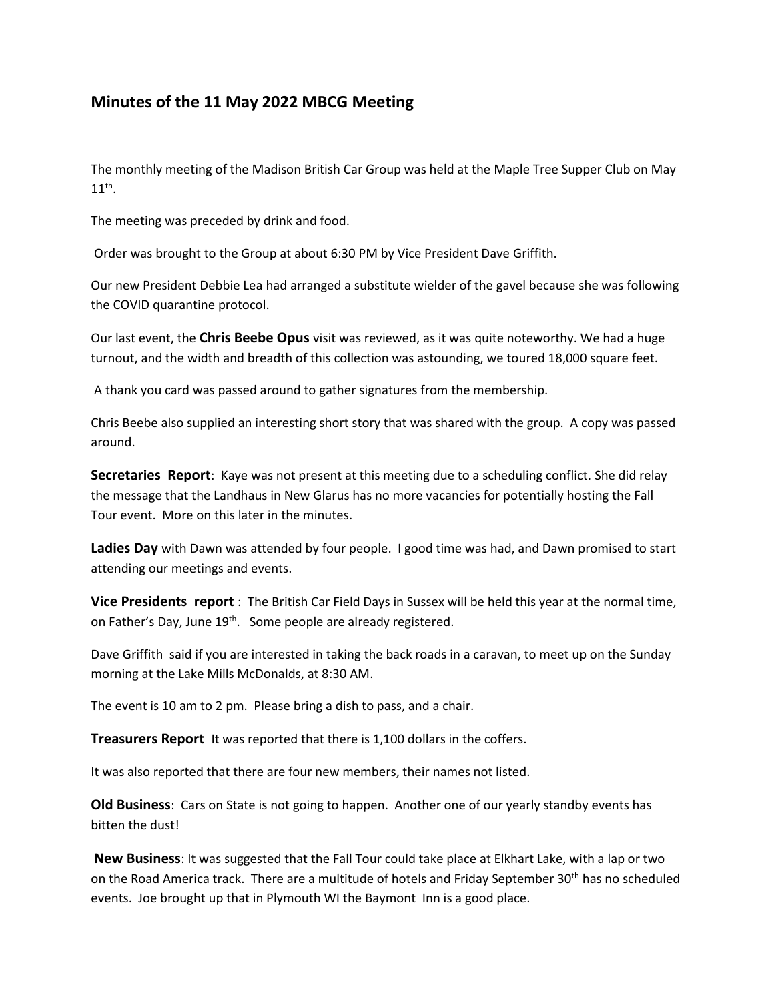## **Minutes of the 11 May 2022 MBCG Meeting**

The monthly meeting of the Madison British Car Group was held at the Maple Tree Supper Club on May  $11^{\text{th}}$ .

The meeting was preceded by drink and food.

Order was brought to the Group at about 6:30 PM by Vice President Dave Griffith.

Our new President Debbie Lea had arranged a substitute wielder of the gavel because she was following the COVID quarantine protocol.

Our last event, the **Chris Beebe Opus** visit was reviewed, as it was quite noteworthy. We had a huge turnout, and the width and breadth of this collection was astounding, we toured 18,000 square feet.

A thank you card was passed around to gather signatures from the membership.

Chris Beebe also supplied an interesting short story that was shared with the group. A copy was passed around.

**Secretaries Report**: Kaye was not present at this meeting due to a scheduling conflict. She did relay the message that the Landhaus in New Glarus has no more vacancies for potentially hosting the Fall Tour event. More on this later in the minutes.

**Ladies Day** with Dawn was attended by four people. I good time was had, and Dawn promised to start attending our meetings and events.

**Vice Presidents report** : The British Car Field Days in Sussex will be held this year at the normal time, on Father's Day, June 19<sup>th</sup>. Some people are already registered.

Dave Griffith said if you are interested in taking the back roads in a caravan, to meet up on the Sunday morning at the Lake Mills McDonalds, at 8:30 AM.

The event is 10 am to 2 pm. Please bring a dish to pass, and a chair.

**Treasurers Report** It was reported that there is 1,100 dollars in the coffers.

It was also reported that there are four new members, their names not listed.

**Old Business**: Cars on State is not going to happen. Another one of our yearly standby events has bitten the dust!

**New Business**: It was suggested that the Fall Tour could take place at Elkhart Lake, with a lap or two on the Road America track. There are a multitude of hotels and Friday September 30<sup>th</sup> has no scheduled events. Joe brought up that in Plymouth WI the Baymont Inn is a good place.